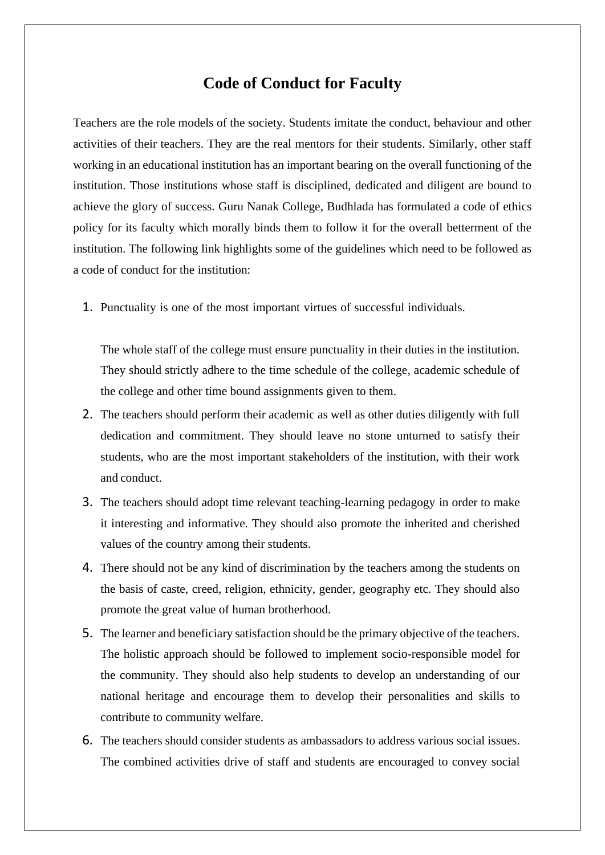## **Code of Conduct for Faculty**

Teachers are the role models of the society. Students imitate the conduct, behaviour and other activities of their teachers. They are the real mentors for their students. Similarly, other staff working in an educational institution has an important bearing on the overall functioning of the institution. Those institutions whose staff is disciplined, dedicated and diligent are bound to achieve the glory of success. Guru Nanak College, Budhlada has formulated a code of ethics policy for its faculty which morally binds them to follow it for the overall betterment of the institution. The following link highlights some of the guidelines which need to be followed as a code of conduct for the institution:

1. Punctuality is one of the most important virtues of successful individuals.

The whole staff of the college must ensure punctuality in their duties in the institution. They should strictly adhere to the time schedule of the college, academic schedule of the college and other time bound assignments given to them.

- 2. The teachers should perform their academic as well as other duties diligently with full dedication and commitment. They should leave no stone unturned to satisfy their students, who are the most important stakeholders of the institution, with their work and conduct.
- 3. The teachers should adopt time relevant teaching-learning pedagogy in order to make it interesting and informative. They should also promote the inherited and cherished values of the country among their students.
- 4. There should not be any kind of discrimination by the teachers among the students on the basis of caste, creed, religion, ethnicity, gender, geography etc. They should also promote the great value of human brotherhood.
- 5. The learner and beneficiary satisfaction should be the primary objective of the teachers. The holistic approach should be followed to implement socio-responsible model for the community. They should also help students to develop an understanding of our national heritage and encourage them to develop their personalities and skills to contribute to community welfare.
- 6. The teachers should consider students as ambassadors to address various social issues. The combined activities drive of staff and students are encouraged to convey social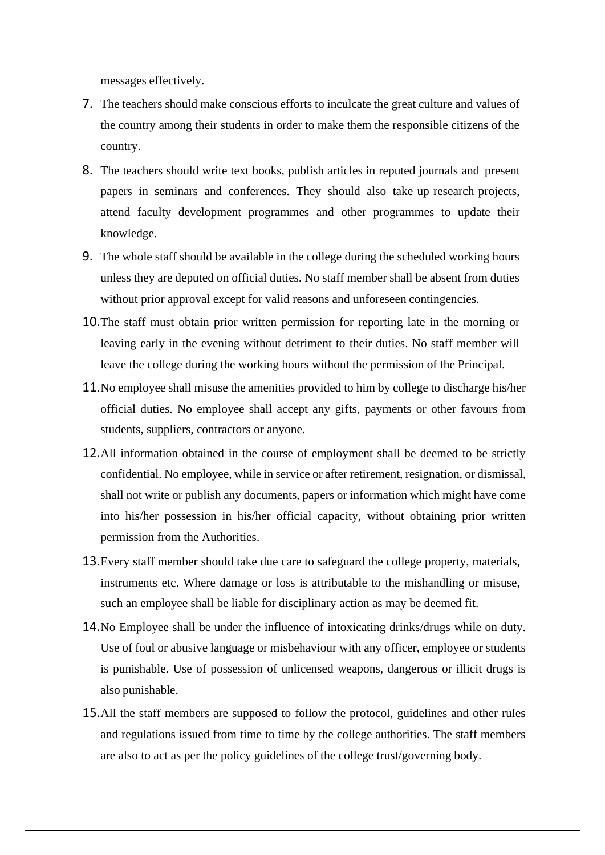messages effectively.

- 7. The teachers should make conscious efforts to inculcate the great culture and values of the country among their students in order to make them the responsible citizens of the country.
- 8. The teachers should write text books, publish articles in reputed journals and present papers in seminars and conferences. They should also take up research projects, attend faculty development programmes and other programmes to update their knowledge.
- 9. The whole staff should be available in the college during the scheduled working hours unless they are deputed on official duties. No staff member shall be absent from duties without prior approval except for valid reasons and unforeseen contingencies.
- 10.The staff must obtain prior written permission for reporting late in the morning or leaving early in the evening without detriment to their duties. No staff member will leave the college during the working hours without the permission of the Principal.
- 11.No employee shall misuse the amenities provided to him by college to discharge his/her official duties. No employee shall accept any gifts, payments or other favours from students, suppliers, contractors or anyone.
- 12.All information obtained in the course of employment shall be deemed to be strictly confidential. No employee, while in service or after retirement, resignation, or dismissal, shall not write or publish any documents, papers or information which might have come into his/her possession in his/her official capacity, without obtaining prior written permission from the Authorities.
- 13.Every staff member should take due care to safeguard the college property, materials, instruments etc. Where damage or loss is attributable to the mishandling or misuse, such an employee shall be liable for disciplinary action as may be deemed fit.
- 14.No Employee shall be under the influence of intoxicating drinks/drugs while on duty. Use of foul or abusive language or misbehaviour with any officer, employee or students is punishable. Use of possession of unlicensed weapons, dangerous or illicit drugs is also punishable.
- 15.All the staff members are supposed to follow the protocol, guidelines and other rules and regulations issued from time to time by the college authorities. The staff members are also to act as per the policy guidelines of the college trust/governing body.